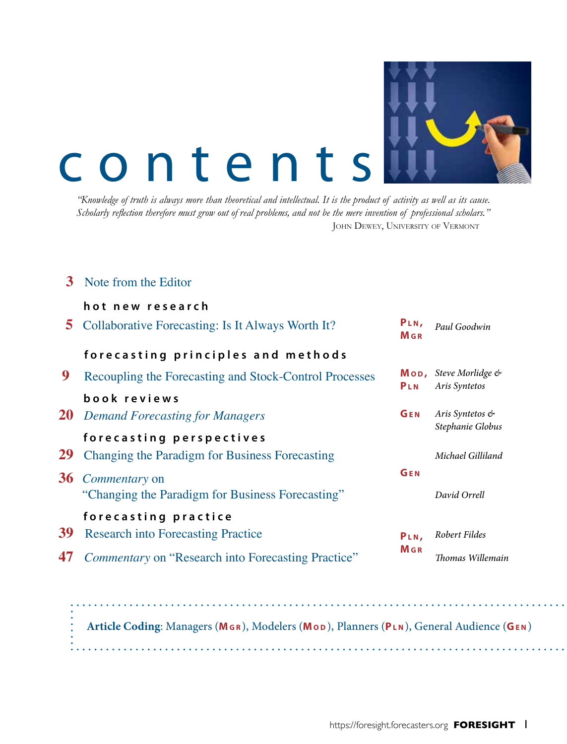

# contents

*"Knowledge of truth is always more than theoretical and intellectual. It is the product of activity as well as its cause. Scholarly reflection therefore must grow out of real problems, and not be the mere invention of professional scholars."* JOHN DEWEY, UNIVERSITY OF VERMONT

## **3** Note from the Editor

|    | hot new research                                       |                                |                                                               |
|----|--------------------------------------------------------|--------------------------------|---------------------------------------------------------------|
| 5  | Collaborative Forecasting: Is It Always Worth It?      | PLN,<br>$M$ G R                | Paul Goodwin                                                  |
|    | forecasting principles and methods                     |                                |                                                               |
| 9  | Recoupling the Forecasting and Stock-Control Processes | PLN                            | $\mathsf{Mod}_{\mathsf{F}}$ Steve Morlidge &<br>Aris Syntetos |
|    | book reviews                                           |                                |                                                               |
|    | <b>20</b> Demand Forecasting for Managers              | GEN                            | Aris Syntetos &<br>Stephanie Globus                           |
|    | forecasting perspectives                               |                                |                                                               |
| 29 | Changing the Paradigm for Business Forecasting         |                                | Michael Gilliland                                             |
|    | <b>36</b> <i>Commentary</i> on                         | GEN                            |                                                               |
|    | "Changing the Paradigm for Business Forecasting"       |                                | David Orrell                                                  |
|    | forecasting practice                                   |                                |                                                               |
| 39 | <b>Research into Forecasting Practice</b>              | PLN,<br><b>M</b> <sub>GR</sub> | Robert Fildes                                                 |
| 47 | Commentary on "Research into Forecasting Practice"     |                                | Thomas Willemain                                              |
|    |                                                        |                                |                                                               |
|    |                                                        |                                |                                                               |

**Article Coding**: Managers (**Mg r** ), Modelers (**Mo d** ), Planners (**Pl n** ), General Audience (**Ge n** )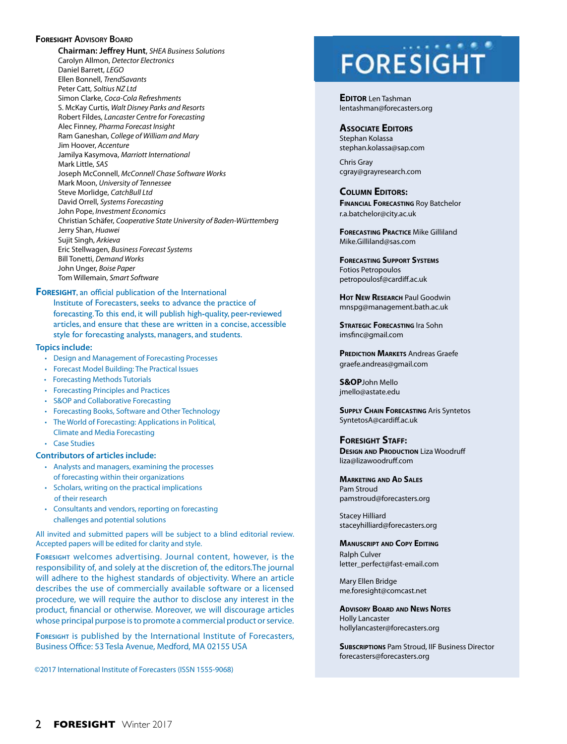### **FORESIGHT** ADVISORY BOARD

**Chairman: Jeffrey Hunt**, *SHEA Business Solutions* Carolyn Allmon, *Detector Electronics* Daniel Barrett, *LEGO* Ellen Bonnell, *TrendSavants*  Peter Catt, *Soltius NZ Ltd* Simon Clarke, *Coca-Cola Refreshments* S. McKay Curtis, *Walt Disney Parks and Resorts*  Robert Fildes, *Lancaster Centre for Forecasting* Alec Finney, *Pharma Forecast Insight* Ram Ganeshan, *College of William and Mary* Jim Hoover, *Accenture* Jamilya Kasymova, *Marriott International* Mark Little, *SAS* Joseph McConnell, *McConnell Chase Software Works* Mark Moon, *University of Tennessee*  Steve Morlidge, *CatchBull Ltd* David Orrell, *Systems Forecasting* John Pope, *Investment Economics* Christian Schäfer, *Cooperative State University of Baden-Württemberg* Jerry Shan, *Huawei* Sujit Singh, *Arkieva* Eric Stellwagen, *Business Forecast Systems* Bill Tonetti, *Demand Works* John Unger, *Boise Paper* Tom Willemain, *Smart Software*

**FORESIGHT**, an official publication of the International Institute of Forecasters, seeks to advance the practice of forecasting. To this end, it will publish high-quality, peer-reviewed articles, and ensure that these are written in a concise, accessible style for forecasting analysts, managers, and students.

### **Topics include:**

- Design and Management of Forecasting Processes
- Forecast Model Building: The Practical Issues
- Forecasting Methods Tutorials
- Forecasting Principles and Practices
- S&OP and Collaborative Forecasting
- Forecasting Books, Software and Other Technology
- The World of Forecasting: Applications in Political,
- Climate and Media Forecasting
- Case Studies

#### **Contributors of articles include:**

- Analysts and managers, examining the processes of forecasting within their organizations
- Scholars, writing on the practical implications of their research
- Consultants and vendors, reporting on forecasting challenges and potential solutions

All invited and submitted papers will be subject to a blind editorial review. Accepted papers will be edited for clarity and style.

**Foresight** welcomes advertising. Journal content, however, is the responsibility of, and solely at the discretion of, the editors.The journal will adhere to the highest standards of objectivity. Where an article describes the use of commercially available software or a licensed procedure, we will require the author to disclose any interest in the product, financial or otherwise. Moreover, we will discourage articles whose principal purpose is to promote a commercial product or service.

**Foresight** is published by the International Institute of Forecasters, Business Office: 53 Tesla Avenue, Medford, MA 02155 USA

©2017 International Institute of Forecasters (ISSN 1555-9068)

# **FORESIGHT**

**EDITOR** Len Tashman lentashman@forecasters.org

### **Associate Editors**

Stephan Kolassa stephan.kolassa@sap.com

Chris Gray cgray@grayresearch.com

### **Column Editors:**

**Financial Forecasting** Roy Batchelor r.a.batchelor@city.ac.uk

**FORECASTING PRACTICE Mike Gilliland** Mike.Gilliland@sas.com

**Forecasting Support Systems** Fotios Petropoulos petropoulosf@cardiff.ac.uk

**Hot New Research** Paul Goodwin mnspg@management.bath.ac.uk

**STRATEGIC FORECASTING** Ira Sohn imsfinc@gmail.com

**PREDICTION MARKETS Andreas Graefe** graefe.andreas@gmail.com

**S&OP**John Mello jmello@astate.edu

**Supply Chain Forecasting** Aris Syntetos SyntetosA@cardiff.ac.uk

**Foresight Staff: DESIGN AND PRODUCTION** Liza Woodruff liza@lizawoodruff.com

**Marketing and Ad Sales** Pam Stroud pamstroud@forecasters.org

Stacey Hilliard staceyhilliard@forecasters.org

**Manuscript and Copy Editing** Ralph Culver letter\_perfect@fast-email.com

Mary Ellen Bridge me.foresight@comcast.net

**Advisory Board and News Notes** Holly Lancaster

hollylancaster@forecasters.org

**Subscriptions** Pam Stroud, IIF Business Director forecasters@forecasters.org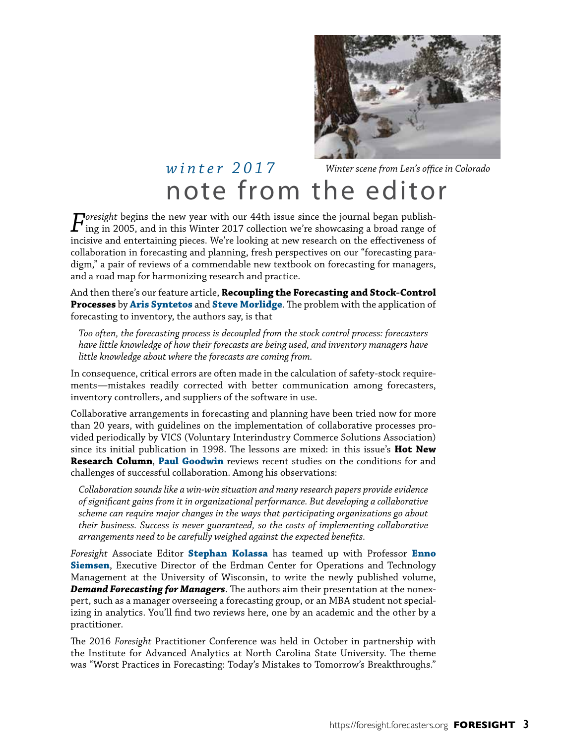

## note from the editor *winter 2017 Winter scene from Len's office in Colorado*

*Foresight* begins the new year with our 44th issue since the journal began publishing in 2005, and in this Winter 2017 collection we're showcasing a broad range of incisive and entertaining pieces. We're looking at new research on the effectiveness of collaboration in forecasting and planning, fresh perspectives on our "forecasting paradigm," a pair of reviews of a commendable new textbook on forecasting for managers, and a road map for harmonizing research and practice.

And then there's our feature article, **Recoupling the Forecasting and Stock-Control Processes** by **Aris Syntetos** and **Steve Morlidge**. The problem with the application of forecasting to inventory, the authors say, is that

*Too often, the forecasting process is decoupled from the stock control process: forecasters have little knowledge of how their forecasts are being used, and inventory managers have little knowledge about where the forecasts are coming from.*

In consequence, critical errors are often made in the calculation of safety-stock requirements—mistakes readily corrected with better communication among forecasters, inventory controllers, and suppliers of the software in use.

Collaborative arrangements in forecasting and planning have been tried now for more than 20 years, with guidelines on the implementation of collaborative processes provided periodically by VICS (Voluntary Interindustry Commerce Solutions Association) since its initial publication in 1998. The lessons are mixed: in this issue's **Hot New Research Column**, **Paul Goodwin** reviews recent studies on the conditions for and challenges of successful collaboration. Among his observations:

*Collaboration sounds like a win-win situation and many research papers provide evidence of significant gains from it in organizational performance. But developing a collaborative scheme can require major changes in the ways that participating organizations go about their business. Success is never guaranteed, so the costs of implementing collaborative arrangements need to be carefully weighed against the expected benefits.* 

*Foresight* Associate Editor **Stephan Kolassa** has teamed up with Professor **Enno Siemsen**, Executive Director of the Erdman Center for Operations and Technology Management at the University of Wisconsin, to write the newly published volume, *Demand Forecasting for Managers*. The authors aim their presentation at the nonexpert, such as a manager overseeing a forecasting group, or an MBA student not specializing in analytics. You'll find two reviews here, one by an academic and the other by a practitioner.

The 2016 *Foresight* Practitioner Conference was held in October in partnership with the Institute for Advanced Analytics at North Carolina State University. The theme was "Worst Practices in Forecasting: Today's Mistakes to Tomorrow's Breakthroughs."